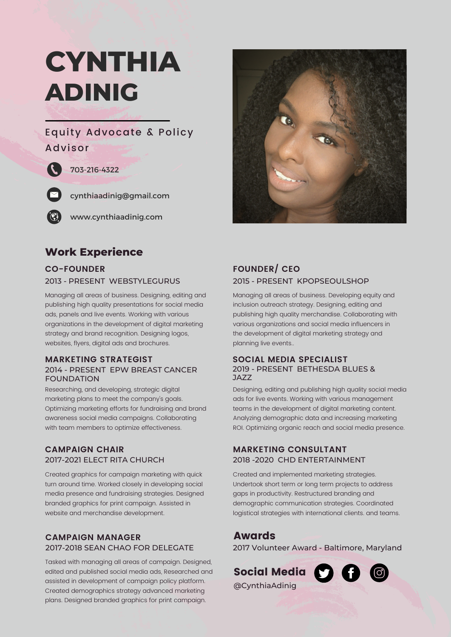# **CYNTHIA ADINIG**

## Equity Advocate & Policy Advisor

#### 703-216-4322



 $\mathcal{L}$ 

cynthiaadinig@gmail.com

www.cynthiaadinig.com

## **Work Experience**

## **CO-FOUNDER** 2013 - PRESENT WEBSTYLEGURUS

Managing all areas of business. Designing, editing and publishing high quality presentations for social media ads, panels and live events. Working with various organizations in the development of digital marketing strategy and brand recognition. Designing logos, websites, flyers, digital ads and brochures.

#### 2014 - PRESENT EPW BREAST CANCER FOUNDATION **MARKETING STRATEGIST SOCIAL MEDIA SPECIALIST**

Researching, and developing, strategic digital marketing plans to meet the company's goals. Optimizing marketing efforts for fundraising and brand awareness social media campaigns. Collaborating with team members to optimize effectiveness.

#### **CAMPAIGN CHAIR** 2017-2021 ELECT RITA CHURCH

Created graphics for campaign marketing with quick turn around time. Worked closely in developing social media presence and fundraising strategies. Designed branded graphics for print campaign. Assisted in website and merchandise development.

#### **CAMPAIGN MANAGER** 2017-2018 SEAN CHAO FOR DELEGATE

Tasked with managing all areas of campaign. Designed, edited and published social media ads, Researched and assisted in development of campaign policy platform. Created demographics strategy advanced marketing plans. Designed branded graphics for print campaign.



### **FOUNDER/ CEO** 2015 - PRESENT KPOPSEOULSHOP

Managing all areas of business. Developing equity and inclusion outreach strategy. Designing, editing and publishing high quality merchandise. Collaborating with various organizations and social media influencers in the development of digital marketing strategy and planning live events..

## 2019 - PRESENT BETHESDA BLUES & JAZZ

Designing, editing and publishing high quality social media ads for live events. Working with various management teams in the development of digital marketing content. Analyzing demographic data and increasing marketing ROI. Optimizing organic reach and social media presence.

#### 2018 -2020 CHD ENTERTAINMENT **MARKETING CONSULTANT**

Created and implemented marketing strategies. Undertook short term or long term projects to address gaps in productivity. Restructured branding and demographic communication strategies. Coordinated logistical strategies with international clients. and teams.

## Awards

2017 Volunteer Award - Baltimore, Maryland

Social Media **Social Media** @CynthiaAdinig